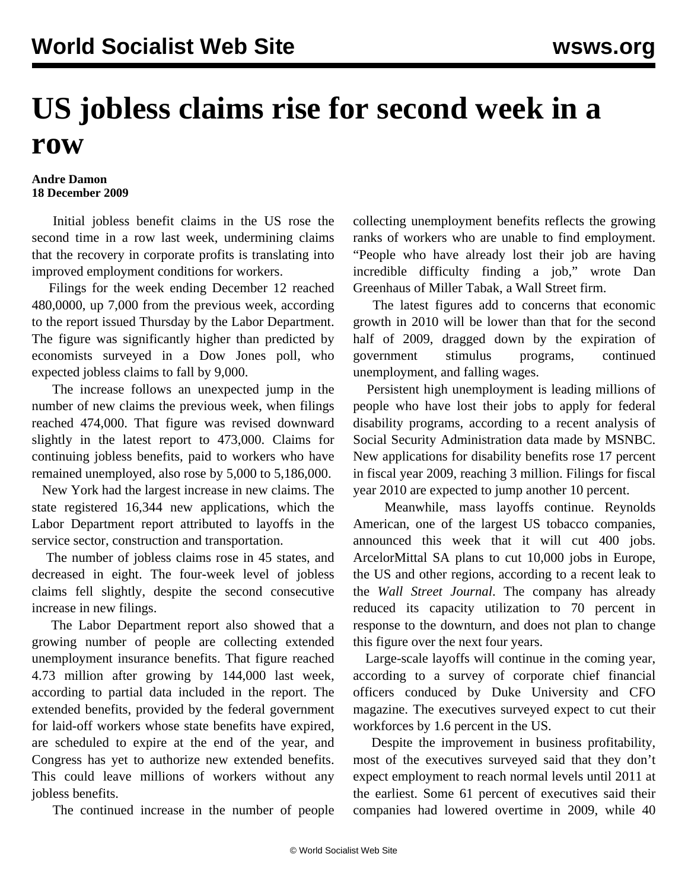## **US jobless claims rise for second week in a row**

## **Andre Damon 18 December 2009**

 Initial jobless benefit claims in the US rose the second time in a row last week, undermining claims that the recovery in corporate profits is translating into improved employment conditions for workers.

 Filings for the week ending December 12 reached 480,0000, up 7,000 from the previous week, according to the report issued Thursday by the Labor Department. The figure was significantly higher than predicted by economists surveyed in a Dow Jones poll, who expected jobless claims to fall by 9,000.

 The increase follows an unexpected jump in the number of new claims the previous week, when filings reached 474,000. That figure was revised downward slightly in the latest report to 473,000. Claims for continuing jobless benefits, paid to workers who have remained unemployed, also rose by 5,000 to 5,186,000.

 New York had the largest increase in new claims. The state registered 16,344 new applications, which the Labor Department report attributed to layoffs in the service sector, construction and transportation.

 The number of jobless claims rose in 45 states, and decreased in eight. The four-week level of jobless claims fell slightly, despite the second consecutive increase in new filings.

 The Labor Department report also showed that a growing number of people are collecting extended unemployment insurance benefits. That figure reached 4.73 million after growing by 144,000 last week, according to partial data included in the report. The extended benefits, provided by the federal government for laid-off workers whose state benefits have expired, are scheduled to expire at the end of the year, and Congress has yet to authorize new extended benefits. This could leave millions of workers without any jobless benefits.

The continued increase in the number of people

collecting unemployment benefits reflects the growing ranks of workers who are unable to find employment. "People who have already lost their job are having incredible difficulty finding a job," wrote Dan Greenhaus of Miller Tabak, a Wall Street firm.

 The latest figures add to concerns that economic growth in 2010 will be lower than that for the second half of 2009, dragged down by the expiration of government stimulus programs, continued unemployment, and falling wages.

 Persistent high unemployment is leading millions of people who have lost their jobs to apply for federal disability programs, according to a recent analysis of Social Security Administration data made by MSNBC. New applications for disability benefits rose 17 percent in fiscal year 2009, reaching 3 million. Filings for fiscal year 2010 are expected to jump another 10 percent.

 Meanwhile, mass layoffs continue. Reynolds American, one of the largest US tobacco companies, announced this week that it will cut 400 jobs. ArcelorMittal SA plans to cut 10,000 jobs in Europe, the US and other regions, according to a recent leak to the *Wall Street Journal*. The company has already reduced its capacity utilization to 70 percent in response to the downturn, and does not plan to change this figure over the next four years.

 Large-scale layoffs will continue in the coming year, according to a survey of corporate chief financial officers conduced by Duke University and CFO magazine. The executives surveyed expect to cut their workforces by 1.6 percent in the US.

 Despite the improvement in business profitability, most of the executives surveyed said that they don't expect employment to reach normal levels until 2011 at the earliest. Some 61 percent of executives said their companies had lowered overtime in 2009, while 40